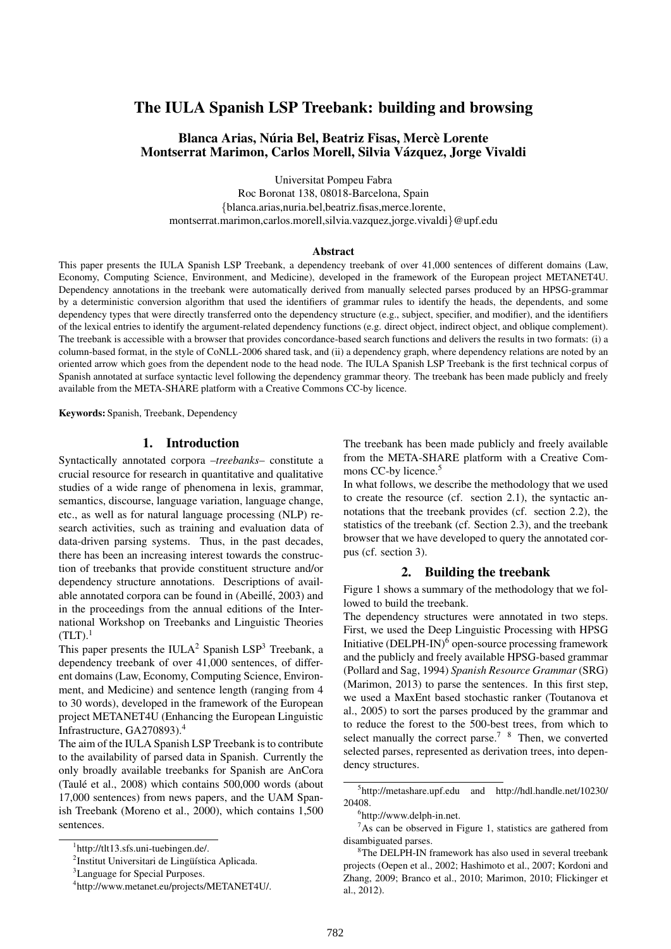# The IULA Spanish LSP Treebank: building and browsing

## Blanca Arias, Núria Bel, Beatriz Fisas, Mercè Lorente Montserrat Marimon, Carlos Morell, Silvia Vázquez, Jorge Vivaldi

Universitat Pompeu Fabra

Roc Boronat 138, 08018-Barcelona, Spain {blanca.arias,nuria.bel,beatriz.fisas,merce.lorente, montserrat.marimon,carlos.morell,silvia.vazquez,jorge.vivaldi}@upf.edu

#### Abstract

This paper presents the IULA Spanish LSP Treebank, a dependency treebank of over 41,000 sentences of different domains (Law, Economy, Computing Science, Environment, and Medicine), developed in the framework of the European project METANET4U. Dependency annotations in the treebank were automatically derived from manually selected parses produced by an HPSG-grammar by a deterministic conversion algorithm that used the identifiers of grammar rules to identify the heads, the dependents, and some dependency types that were directly transferred onto the dependency structure (e.g., subject, specifier, and modifier), and the identifiers of the lexical entries to identify the argument-related dependency functions (e.g. direct object, indirect object, and oblique complement). The treebank is accessible with a browser that provides concordance-based search functions and delivers the results in two formats: (i) a column-based format, in the style of CoNLL-2006 shared task, and (ii) a dependency graph, where dependency relations are noted by an oriented arrow which goes from the dependent node to the head node. The IULA Spanish LSP Treebank is the first technical corpus of Spanish annotated at surface syntactic level following the dependency grammar theory. The treebank has been made publicly and freely available from the META-SHARE platform with a Creative Commons CC-by licence.

Keywords: Spanish, Treebank, Dependency

### 1. Introduction

Syntactically annotated corpora –*treebanks*– constitute a crucial resource for research in quantitative and qualitative studies of a wide range of phenomena in lexis, grammar, semantics, discourse, language variation, language change, etc., as well as for natural language processing (NLP) research activities, such as training and evaluation data of data-driven parsing systems. Thus, in the past decades, there has been an increasing interest towards the construction of treebanks that provide constituent structure and/or dependency structure annotations. Descriptions of available annotated corpora can be found in (Abeillé, 2003) and in the proceedings from the annual editions of the International Workshop on Treebanks and Linguistic Theories  $(TLT).$ <sup>1</sup>

This paper presents the IULA<sup>2</sup> Spanish LSP<sup>3</sup> Treebank, a dependency treebank of over 41,000 sentences, of different domains (Law, Economy, Computing Science, Environment, and Medicine) and sentence length (ranging from 4 to 30 words), developed in the framework of the European project METANET4U (Enhancing the European Linguistic Infrastructure, GA270893).<sup>4</sup>

The aim of the IULA Spanish LSP Treebank is to contribute to the availability of parsed data in Spanish. Currently the only broadly available treebanks for Spanish are AnCora (Taulé et al., 2008) which contains 500,000 words (about 17,000 sentences) from news papers, and the UAM Spanish Treebank (Moreno et al., 2000), which contains 1,500 sentences.

The treebank has been made publicly and freely available from the META-SHARE platform with a Creative Commons CC-by licence.<sup>5</sup>

In what follows, we describe the methodology that we used to create the resource (cf. section 2.1), the syntactic annotations that the treebank provides (cf. section 2.2), the statistics of the treebank (cf. Section 2.3), and the treebank browser that we have developed to query the annotated corpus (cf. section 3).

## 2. Building the treebank

Figure 1 shows a summary of the methodology that we followed to build the treebank.

The dependency structures were annotated in two steps. First, we used the Deep Linguistic Processing with HPSG Initiative  $(DELPH-IN)^6$  open-source processing framework and the publicly and freely available HPSG-based grammar (Pollard and Sag, 1994) *Spanish Resource Grammar* (SRG) (Marimon, 2013) to parse the sentences. In this first step, we used a MaxEnt based stochastic ranker (Toutanova et al., 2005) to sort the parses produced by the grammar and to reduce the forest to the 500-best trees, from which to select manually the correct parse.<sup>7</sup> <sup>8</sup> Then, we converted selected parses, represented as derivation trees, into dependency structures.

<sup>1</sup> http://tlt13.sfs.uni-tuebingen.de/.

<sup>&</sup>lt;sup>2</sup>Institut Universitari de Lingüística Aplicada.

<sup>&</sup>lt;sup>3</sup>Language for Special Purposes.

<sup>4</sup> http://www.metanet.eu/projects/METANET4U/.

<sup>5</sup> http://metashare.upf.edu and http://hdl.handle.net/10230/ 20408.

<sup>6</sup> http://www.delph-in.net.

 $7As$  can be observed in Figure 1, statistics are gathered from disambiguated parses.

<sup>8</sup>The DELPH-IN framework has also used in several treebank projects (Oepen et al., 2002; Hashimoto et al., 2007; Kordoni and Zhang, 2009; Branco et al., 2010; Marimon, 2010; Flickinger et al., 2012).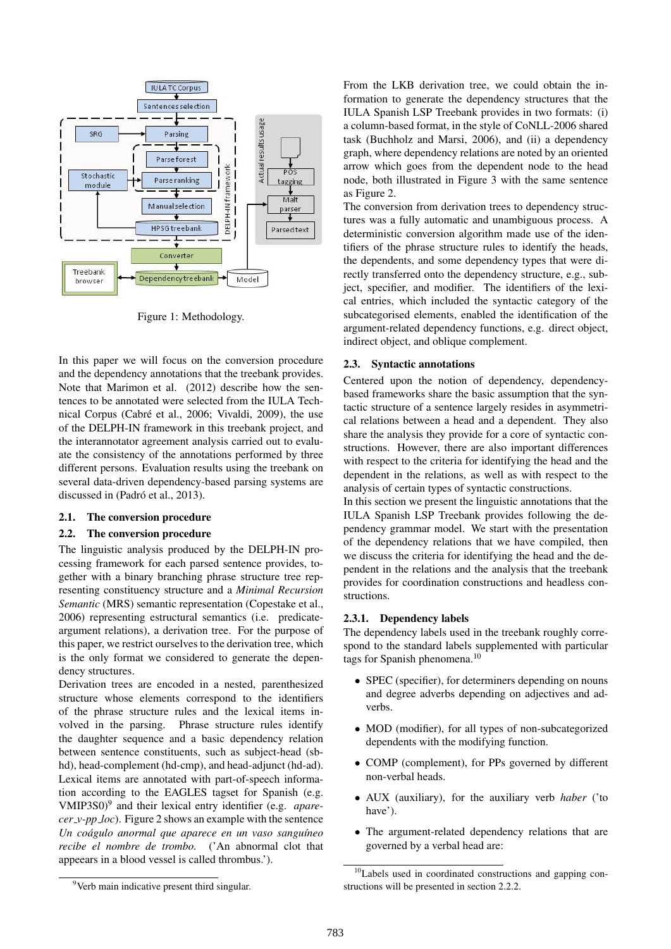

Figure 1: Methodology.

In this paper we will focus on the conversion procedure and the dependency annotations that the treebank provides. Note that Marimon et al. (2012) describe how the sentences to be annotated were selected from the IULA Technical Corpus (Cabré et al., 2006; Vivaldi, 2009), the use of the DELPH-IN framework in this treebank project, and the interannotator agreement analysis carried out to evaluate the consistency of the annotations performed by three different persons. Evaluation results using the treebank on several data-driven dependency-based parsing systems are discussed in (Padró et al., 2013).

#### 2.1. The conversion procedure

#### 2.2. The conversion procedure

The linguistic analysis produced by the DELPH-IN processing framework for each parsed sentence provides, together with a binary branching phrase structure tree representing constituency structure and a *Minimal Recursion Semantic* (MRS) semantic representation (Copestake et al., 2006) representing estructural semantics (i.e. predicateargument relations), a derivation tree. For the purpose of this paper, we restrict ourselves to the derivation tree, which is the only format we considered to generate the dependency structures.

Derivation trees are encoded in a nested, parenthesized structure whose elements correspond to the identifiers of the phrase structure rules and the lexical items involved in the parsing. Phrase structure rules identify the daughter sequence and a basic dependency relation between sentence constituents, such as subject-head (sbhd), head-complement (hd-cmp), and head-adjunct (hd-ad). Lexical items are annotated with part-of-speech information according to the EAGLES tagset for Spanish (e.g. VMIP3S0)<sup>9</sup> and their lexical entry identifier (e.g. *aparecer v-pp loc*). Figure 2 shows an example with the sentence *Un coágulo anormal que aparece en un vaso sanguíneo recibe el nombre de trombo.* ('An abnormal clot that appeears in a blood vessel is called thrombus.').

From the LKB derivation tree, we could obtain the information to generate the dependency structures that the IULA Spanish LSP Treebank provides in two formats: (i) a column-based format, in the style of CoNLL-2006 shared task (Buchholz and Marsi, 2006), and (ii) a dependency graph, where dependency relations are noted by an oriented arrow which goes from the dependent node to the head node, both illustrated in Figure 3 with the same sentence as Figure 2.

The conversion from derivation trees to dependency structures was a fully automatic and unambiguous process. A deterministic conversion algorithm made use of the identifiers of the phrase structure rules to identify the heads, the dependents, and some dependency types that were directly transferred onto the dependency structure, e.g., subject, specifier, and modifier. The identifiers of the lexical entries, which included the syntactic category of the subcategorised elements, enabled the identification of the argument-related dependency functions, e.g. direct object, indirect object, and oblique complement.

### 2.3. Syntactic annotations

Centered upon the notion of dependency, dependencybased frameworks share the basic assumption that the syntactic structure of a sentence largely resides in asymmetrical relations between a head and a dependent. They also share the analysis they provide for a core of syntactic constructions. However, there are also important differences with respect to the criteria for identifying the head and the dependent in the relations, as well as with respect to the analysis of certain types of syntactic constructions.

In this section we present the linguistic annotations that the IULA Spanish LSP Treebank provides following the dependency grammar model. We start with the presentation of the dependency relations that we have compiled, then we discuss the criteria for identifying the head and the dependent in the relations and the analysis that the treebank provides for coordination constructions and headless constructions.

#### 2.3.1. Dependency labels

The dependency labels used in the treebank roughly correspond to the standard labels supplemented with particular tags for Spanish phenomena.<sup>10</sup>

- SPEC (specifier), for determiners depending on nouns and degree adverbs depending on adjectives and adverbs.
- MOD (modifier), for all types of non-subcategorized dependents with the modifying function.
- COMP (complement), for PPs governed by different non-verbal heads.
- AUX (auxiliary), for the auxiliary verb *haber* ('to have').
- The argument-related dependency relations that are governed by a verbal head are:

<sup>10</sup>Labels used in coordinated constructions and gapping constructions will be presented in section 2.2.2.

<sup>&</sup>lt;sup>9</sup>Verb main indicative present third singular.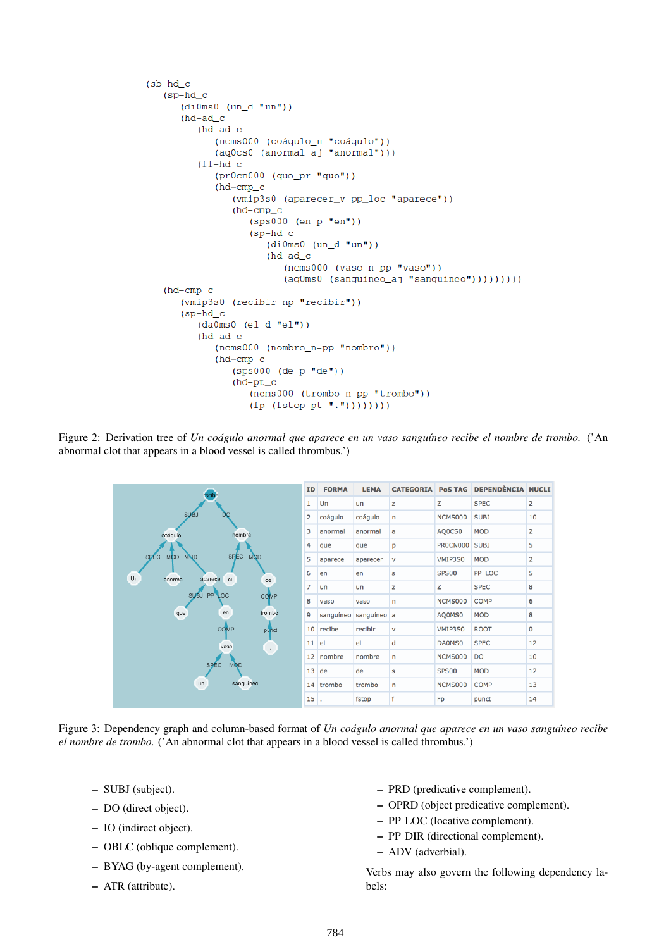```
(sb-hd c)(sp-hd_c)(dil0ms0 (un_d "un"))(hd-ad_c(hd-ad_c(ncms000 (coágulo_n "coágulo"))
         (aq0cs0 (anormal_aj "anormal")))
      (f1-hd_c)(pr0cn000 (que_pr "que"))(hd-cmp_c(vmip3s0 (aparecer_v-pp_loc "aparece"))
            (hd-cmp_c(sps000 (en_p "en"))
               (sp-hd_c)(dil0ms0 (un_d "un"))(hd-ad_c)(ncms000 (vaso_n-pp "vaso"))(aq0ms0 (sanguíneo_aj "sanguíneo"))))))))))
(hd-cmp_c(vmip3s0 (recibir-np "recibir"))
   (sp-hd_c)(da0ms0 (el_d "el"))(hd-ad c)(ncms000 (nombre_n-pp "nombre"))
         (hd-cmp_c(sps000 (de_p "de") )(hd-pt_c(ncms000 (trombo_n-pp "trombo"))
               (fp (fstop_pt ".'')))))
```
Figure 2: Derivation tree of *Un coágulo anormal que aparece en un vaso sanguíneo recibe el nombre de trombo.* ('An abnormal clot that appears in a blood vessel is called thrombus.')



Figure 3: Dependency graph and column-based format of *Un coágulo anormal que aparece en un vaso sanguíneo recibe el nombre de trombo.* ('An abnormal clot that appears in a blood vessel is called thrombus.')

- SUBJ (subject).
- DO (direct object).
- IO (indirect object).
- OBLC (oblique complement).
- BYAG (by-agent complement).
- ATR (attribute).
- PRD (predicative complement).
- OPRD (object predicative complement).
- PP LOC (locative complement).
- PP DIR (directional complement).
- ADV (adverbial).

Verbs may also govern the following dependency labels: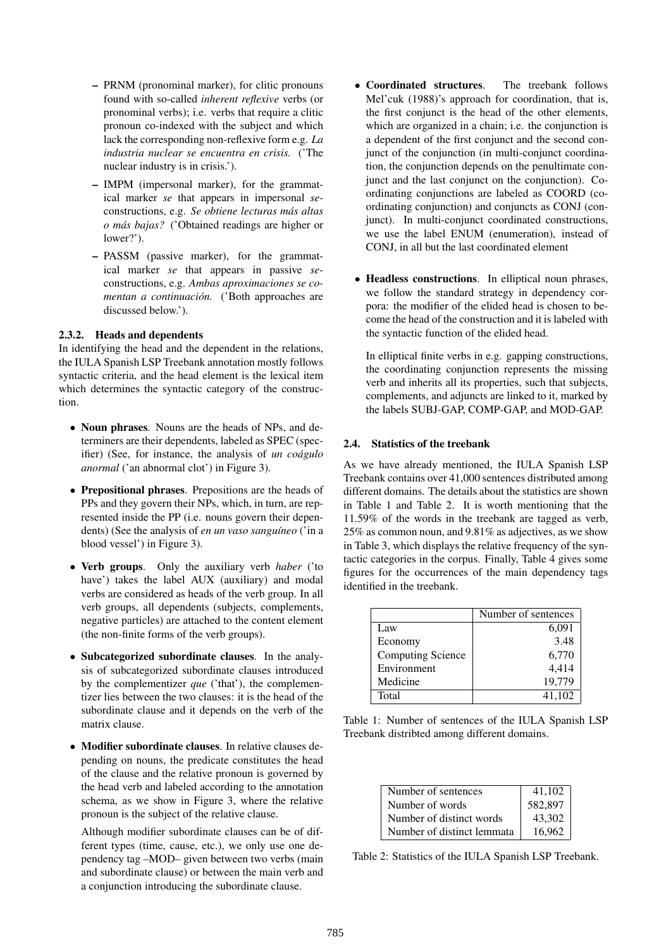- PRNM (pronominal marker), for clitic pronouns found with so-called *inherent reflexive* verbs (or pronominal verbs); i.e. verbs that require a clitic pronoun co-indexed with the subject and which lack the corresponding non-reflexive form e.g. *La industria nuclear se encuentra en crisis.* ('The nuclear industry is in crisis.').
- IMPM (impersonal marker), for the grammatical marker *se* that appears in impersonal *se*constructions, e.g. *Se obtiene lecturas mas altas ´ o mas bajas? ´* ('Obtained readings are higher or lower?').
- PASSM (passive marker), for the grammatical marker *se* that appears in passive *se*constructions, e.g. *Ambas aproximaciones se comentan a continuación.* ('Both approaches are discussed below.').

#### 2.3.2. Heads and dependents

In identifying the head and the dependent in the relations, the IULA Spanish LSP Treebank annotation mostly follows syntactic criteria, and the head element is the lexical item which determines the syntactic category of the construction.

- Noun phrases. Nouns are the heads of NPs, and determiners are their dependents, labeled as SPEC (specifier) (See, for instance, the analysis of *un coágulo anormal* ('an abnormal clot') in Figure 3).
- Prepositional phrases. Prepositions are the heads of PPs and they govern their NPs, which, in turn, are represented inside the PP (i.e. nouns govern their dependents) (See the analysis of *en un vaso sanguíneo* ('in a blood vessel') in Figure 3).
- Verb groups. Only the auxiliary verb *haber* ('to have') takes the label AUX (auxiliary) and modal verbs are considered as heads of the verb group. In all verb groups, all dependents (subjects, complements, negative particles) are attached to the content element (the non-finite forms of the verb groups).
- Subcategorized subordinate clauses. In the analysis of subcategorized subordinate clauses introduced by the complementizer *que* ('that'), the complementizer lies between the two clauses: it is the head of the subordinate clause and it depends on the verb of the matrix clause.
- Modifier subordinate clauses. In relative clauses depending on nouns, the predicate constitutes the head of the clause and the relative pronoun is governed by the head verb and labeled according to the annotation schema, as we show in Figure 3, where the relative pronoun is the subject of the relative clause.

Although modifier subordinate clauses can be of different types (time, cause, etc.), we only use one dependency tag –MOD– given between two verbs (main and subordinate clause) or between the main verb and a conjunction introducing the subordinate clause.

- Coordinated structures. The treebank follows Mel'cuk (1988)'s approach for coordination, that is, the first conjunct is the head of the other elements, which are organized in a chain; i.e. the conjunction is a dependent of the first conjunct and the second conjunct of the conjunction (in multi-conjunct coordination, the conjunction depends on the penultimate conjunct and the last conjunct on the conjunction). Coordinating conjunctions are labeled as COORD (coordinating conjunction) and conjuncts as CONJ (conjunct). In multi-conjunct coordinated constructions, we use the label ENUM (enumeration), instead of CONJ, in all but the last coordinated element
- Headless constructions. In elliptical noun phrases, we follow the standard strategy in dependency corpora: the modifier of the elided head is chosen to become the head of the construction and it is labeled with the syntactic function of the elided head.

In elliptical finite verbs in e.g. gapping constructions, the coordinating conjunction represents the missing verb and inherits all its properties, such that subjects, complements, and adjuncts are linked to it, marked by the labels SUBJ-GAP, COMP-GAP, and MOD-GAP.

#### 2.4. Statistics of the treebank

As we have already mentioned, the IULA Spanish LSP Treebank contains over 41,000 sentences distributed among different domains. The details about the statistics are shown in Table 1 and Table 2. It is worth mentioning that the 11.59% of the words in the treebank are tagged as verb, 25% as common noun, and 9.81% as adjectives, as we show in Table 3, which displays the relative frequency of the syntactic categories in the corpus. Finally, Table 4 gives some figures for the occurrences of the main dependency tags identified in the treebank.

|                          | Number of sentences |
|--------------------------|---------------------|
| Law                      | 6,091               |
| Economy                  | 3.48                |
| <b>Computing Science</b> | 6,770               |
| Environment              | 4,414               |
| Medicine                 | 19.779              |
| Total                    | 41.102              |

Table 1: Number of sentences of the IULA Spanish LSP Treebank distribted among different domains.

| Number of sentences        | 41,102  |
|----------------------------|---------|
| Number of words            | 582,897 |
| Number of distinct words   | 43.302  |
| Number of distinct lemmata | 16.962  |

Table 2: Statistics of the IULA Spanish LSP Treebank.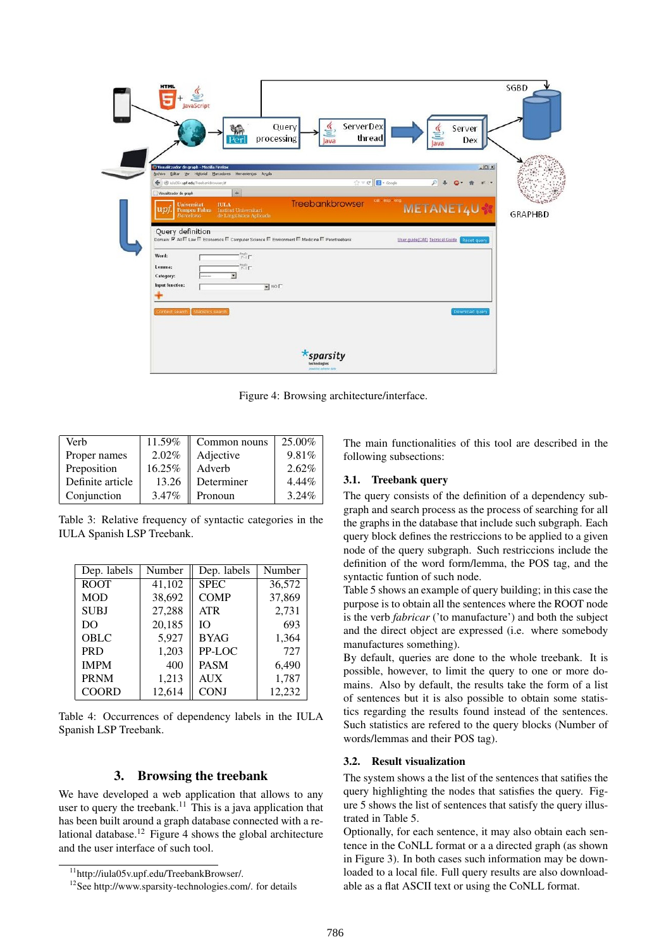| <b>HTML</b><br>avaScript<br>ServerDex<br>Query<br>Server<br>thread<br>processing<br>Dex<br>lava<br>Java                                                                                                                                                                                                                                                                                                                                                        | <b>SGBD</b>    |
|----------------------------------------------------------------------------------------------------------------------------------------------------------------------------------------------------------------------------------------------------------------------------------------------------------------------------------------------------------------------------------------------------------------------------------------------------------------|----------------|
| $-101 \times$<br>Visualitzador de graph - Mozilla Firefox<br>Archivo Editar yer Higtorial Marcadores Herramientas Ayuda<br><b>B</b> - Google<br>← @ iuls05v.upf.edu/TreebankBrowser/#<br>$\mathbb{C}^1 \times \mathbb{C}^1$<br>$\mathcal{P}$<br>$\pm$<br>Visualitzador de graph<br>cat esp eng<br>Treebankbrowser<br><b>Universitat</b><br><b>IULA</b><br>METANET4U<br>Pompeu Fabra Institut Universitari<br>но<br><b>Barcelona</b><br>de Lingüística Aplicada | <b>GRAPHBD</b> |
| Query definition<br>Domain: MAI III Law III Economics III Computer Science III Environment III Medicine III Penntreebank<br>User guide(CAT) Tecnical Guide<br>Roset query<br>fegle<br> A.i<br>Word:<br>Lemma:<br><b>MIE</b><br>$\overline{\mathbf{z}}$<br>Category:<br>Input function:<br>$\blacksquare$ NO $\blacksquare$                                                                                                                                     |                |
| Statistics search<br>Download query<br>Context search<br><b>*sparsity</b><br>technologies<br>powering extreme data                                                                                                                                                                                                                                                                                                                                             |                |

Figure 4: Browsing architecture/interface.

| Verb             | 11.59% | Common nouns | 25.00%   |
|------------------|--------|--------------|----------|
| Proper names     | 2.02%  | Adjective    | 9.81%    |
| Preposition      | 16.25% | Adverb       | $2.62\%$ |
| Definite article | 13.26  | Determiner   | $4.44\%$ |
| Conjunction      | 3.47%  | Pronoun      | 3.24%    |

Table 3: Relative frequency of syntactic categories in the IULA Spanish LSP Treebank.

| Dep. labels  | Number | Dep. labels | Number |  |
|--------------|--------|-------------|--------|--|
| <b>ROOT</b>  | 41,102 | <b>SPEC</b> | 36,572 |  |
| <b>MOD</b>   | 38,692 | <b>COMP</b> | 37,869 |  |
| <b>SUBJ</b>  | 27,288 | <b>ATR</b>  | 2,731  |  |
| DO           | 20,185 | ĪΟ          | 693    |  |
| OBLC         | 5,927  | <b>BYAG</b> | 1,364  |  |
| <b>PRD</b>   | 1,203  | PP-LOC      | 727    |  |
| <b>IMPM</b>  | 400    | <b>PASM</b> | 6,490  |  |
| <b>PRNM</b>  | 1,213  | <b>AUX</b>  | 1,787  |  |
| <b>COORD</b> | 12,614 | <b>CONJ</b> | 12,232 |  |

Table 4: Occurrences of dependency labels in the IULA Spanish LSP Treebank.

### 3. Browsing the treebank

We have developed a web application that allows to any user to query the treebank.<sup>11</sup> This is a java application that has been built around a graph database connected with a relational database.<sup>12</sup> Figure 4 shows the global architecture and the user interface of such tool.

The main functionalities of this tool are described in the following subsections:

### 3.1. Treebank query

The query consists of the definition of a dependency subgraph and search process as the process of searching for all the graphs in the database that include such subgraph. Each query block defines the restriccions to be applied to a given node of the query subgraph. Such restriccions include the definition of the word form/lemma, the POS tag, and the syntactic funtion of such node.

Table 5 shows an example of query building; in this case the purpose is to obtain all the sentences where the ROOT node is the verb *fabricar* ('to manufacture') and both the subject and the direct object are expressed (i.e. where somebody manufactures something).

By default, queries are done to the whole treebank. It is possible, however, to limit the query to one or more domains. Also by default, the results take the form of a list of sentences but it is also possible to obtain some statistics regarding the results found instead of the sentences. Such statistics are refered to the query blocks (Number of words/lemmas and their POS tag).

## 3.2. Result visualization

The system shows a the list of the sentences that satifies the query highlighting the nodes that satisfies the query. Figure 5 shows the list of sentences that satisfy the query illustrated in Table 5.

Optionally, for each sentence, it may also obtain each sentence in the CoNLL format or a a directed graph (as shown in Figure 3). In both cases such information may be downloaded to a local file. Full query results are also downloadable as a flat ASCII text or using the CoNLL format.

<sup>11</sup>http://iula05v.upf.edu/TreebankBrowser/.

<sup>12</sup>See http://www.sparsity-technologies.com/. for details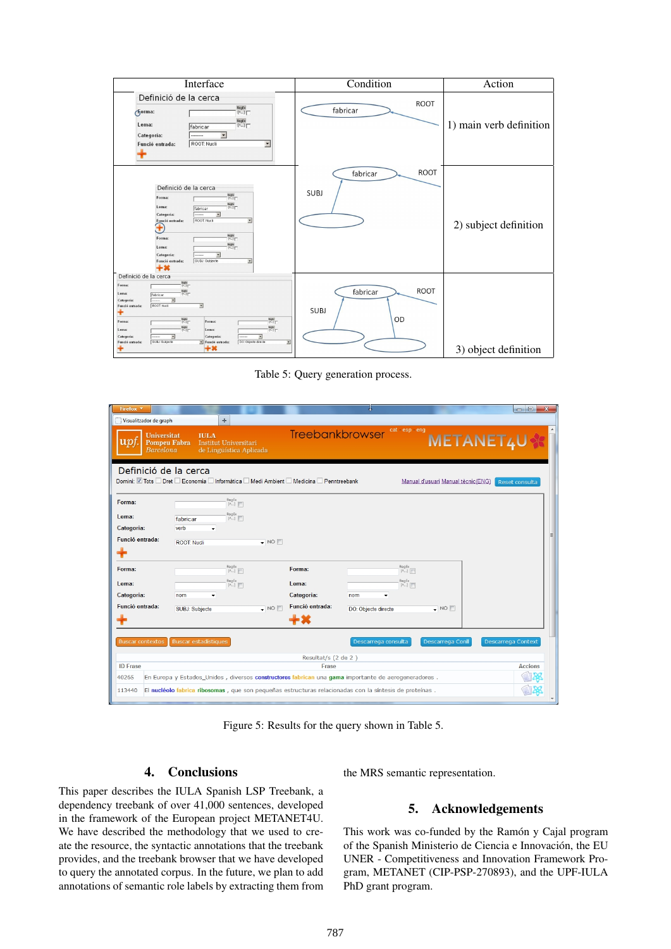| Interface                                                                                                                                                                                                                                                                                                                                                                                                                                                                      | Condition                              | Action                  |  |
|--------------------------------------------------------------------------------------------------------------------------------------------------------------------------------------------------------------------------------------------------------------------------------------------------------------------------------------------------------------------------------------------------------------------------------------------------------------------------------|----------------------------------------|-------------------------|--|
| Definició de la cerca<br>$RegEx$<br>$[^{\wedge}$ ]<br>orma:<br>RegEx<br>[A]<br>Lema:<br>fabricar<br>Categoría:<br>▾<br>--------<br>ROOT: Nucli<br>$\blacksquare$<br>Funció entrada:                                                                                                                                                                                                                                                                                            | ROOT<br>fabricar                       | 1) main verb definition |  |
| Definició de la cerca<br>Regist<br>[^]<br>Forma:<br>Regist<br>[^-]<br>Lema:<br>fabricar<br>Categoria:<br>Funció entrada:<br>ROOT: Nucli<br>$\blacktriangledown$<br>Œ<br>Reglis<br>[^-]<br>Forma:<br>Reglis<br>[Au]<br>Lema:<br>⊻<br>Categoria:<br>Funció entrada:<br>SUBJ: Subjecte<br>$\overline{\phantom{a}}$<br>$+*$                                                                                                                                                        | <b>ROOT</b><br>fabricar<br><b>SUBJ</b> | 2) subject definition   |  |
| Definició de la cerca<br>Regis<br>[4]<br>Forma:<br>Regis<br>(NJ)<br>Lema:<br>fabricar<br>$\overline{z}$<br>Categoria:<br>ROOT: Nucli<br>Ξ<br>Funció entrada:<br>T<br>Regis<br>[3-3]<br>$rac{\text{Reglex}}{[01]^n}$<br>Forma:<br>Forma:<br>Regis<br>[4.3]<br>Regis<br>[Au]<br>Lema:<br>Lema:<br>$\overline{\mathbf{z}}$<br>Categoria:<br>회<br>Categoria:<br>SUBJ: Subjecte<br>DO: Objecte directe<br>$\overline{\phantom{a}}$<br>Funció entrada:<br>Funció entrada:<br>+×<br>т | ROOT<br>fabricar<br><b>SUBJ</b><br>OD  | 3) object definition    |  |

Table 5: Query generation process.

| Firefox v<br>Visualitzador de graph                                                                    |                             | ÷                                                               |                  |                     |                                                                                                        |                                      |                                    | $\Box$ e           | $\mathbf{x}$ |
|--------------------------------------------------------------------------------------------------------|-----------------------------|-----------------------------------------------------------------|------------------|---------------------|--------------------------------------------------------------------------------------------------------|--------------------------------------|------------------------------------|--------------------|--------------|
| <b>Universitat</b><br>$\boldsymbol{\mathrm{u}}\boldsymbol{\mathcal{p}}$ t.<br>Barcelona                | <b>Pompeu Fabra</b>         | <b>IULA</b><br>Institut Universitari<br>de Lingüística Aplicada |                  |                     | Treebankbrowser                                                                                        | cat esp eng                          | METANET4U                          |                    |              |
| Definició de la cerca<br>Domini: V Tots Dret B Economia Informàtica Medi Ambient Medicina Penntreebank |                             |                                                                 |                  |                     |                                                                                                        |                                      | Manual d'usuari Manual tècnic(ENG) | Reset consulta     |              |
| Forma:                                                                                                 |                             | RegEx<br>[^]                                                    |                  |                     |                                                                                                        |                                      |                                    |                    |              |
| Lema:                                                                                                  | fabricar                    | $P_{\text{PQEx}}$                                               |                  |                     |                                                                                                        |                                      |                                    |                    |              |
| Categoria:                                                                                             | verb                        |                                                                 |                  |                     |                                                                                                        |                                      |                                    |                    |              |
| Funció entrada:                                                                                        | <b>ROOT: Nucli</b>          |                                                                 | $\bullet$ NO     |                     |                                                                                                        |                                      |                                    |                    |              |
|                                                                                                        |                             |                                                                 |                  |                     |                                                                                                        |                                      |                                    |                    |              |
| Forma:                                                                                                 |                             | RegEx<br>[A]                                                    |                  | Forma:              |                                                                                                        | $\frac{RegEx}{[A]}$                  |                                    |                    |              |
| Lema:                                                                                                  |                             | RegEx<br>[^]                                                    |                  | Lema:               |                                                                                                        | $\overset{\text{RegEx}}{\text{[A]}}$ |                                    |                    |              |
| Categoria:                                                                                             | nom                         |                                                                 |                  | Categoria:          | nom<br>٠                                                                                               |                                      |                                    |                    |              |
| Funció entrada:                                                                                        | SUBJ: Subjecte              |                                                                 | $\neg$ NO $\neg$ | Funció entrada:     | DO: Objecte directe                                                                                    |                                      | $\sqrt{N}$ NO                      |                    |              |
|                                                                                                        |                             |                                                                 |                  | +×                  |                                                                                                        |                                      |                                    |                    |              |
| <b>Buscar contextos</b>                                                                                | <b>Buscar estadístiques</b> |                                                                 |                  |                     | Descarrega consulta                                                                                    |                                      | Descarrega Conll                   | Descarrega Context |              |
|                                                                                                        |                             |                                                                 |                  |                     |                                                                                                        |                                      |                                    |                    |              |
|                                                                                                        |                             |                                                                 |                  | Resultat/s (2 de 2) |                                                                                                        |                                      |                                    |                    |              |
| <b>ID Frase</b>                                                                                        |                             |                                                                 |                  | Frase               |                                                                                                        |                                      |                                    | <b>Accions</b>     |              |
| 40265                                                                                                  |                             |                                                                 |                  |                     | En Europa y Estados_Unidos, diversos constructores fabrican una gama importante de aerogeneradores.    |                                      |                                    |                    |              |
| 113440                                                                                                 |                             |                                                                 |                  |                     | El nucléolo fabrica ribosomas, que son pequeñas estructuras relacionadas con la síntesis de proteínas. |                                      |                                    |                    |              |

Figure 5: Results for the query shown in Table 5.

## 4. Conclusions

This paper describes the IULA Spanish LSP Treebank, a dependency treebank of over 41,000 sentences, developed in the framework of the European project METANET4U. We have described the methodology that we used to create the resource, the syntactic annotations that the treebank provides, and the treebank browser that we have developed to query the annotated corpus. In the future, we plan to add annotations of semantic role labels by extracting them from the MRS semantic representation.

## 5. Acknowledgements

This work was co-funded by the Ramón y Cajal program of the Spanish Ministerio de Ciencia e Innovacion, the EU ´ UNER - Competitiveness and Innovation Framework Program, METANET (CIP-PSP-270893), and the UPF-IULA PhD grant program.